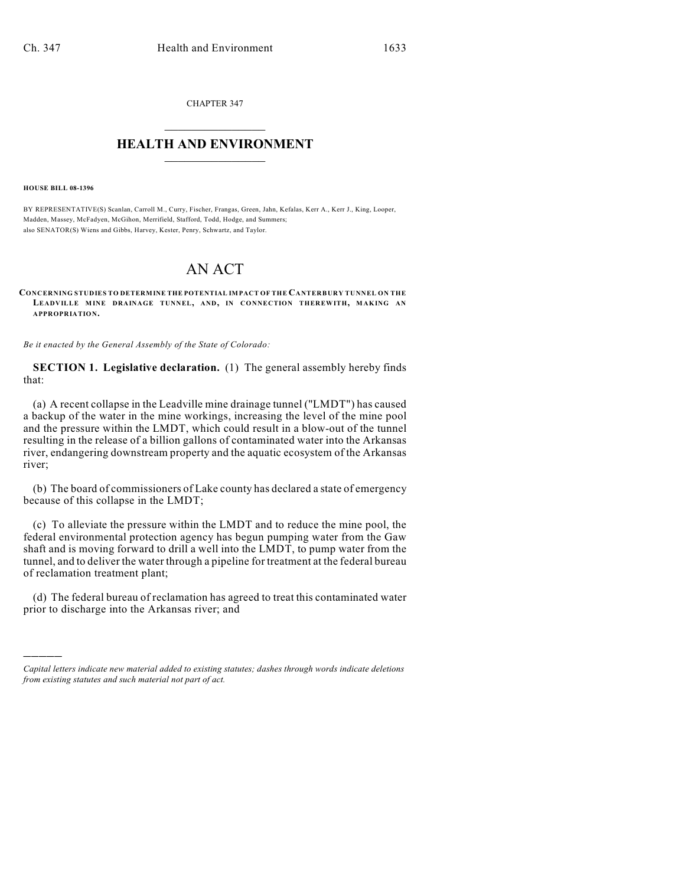CHAPTER 347  $\mathcal{L}_\text{max}$  . The set of the set of the set of the set of the set of the set of the set of the set of the set of the set of the set of the set of the set of the set of the set of the set of the set of the set of the set

## **HEALTH AND ENVIRONMENT**  $\_$

**HOUSE BILL 08-1396**

)))))

BY REPRESENTATIVE(S) Scanlan, Carroll M., Curry, Fischer, Frangas, Green, Jahn, Kefalas, Kerr A., Kerr J., King, Looper, Madden, Massey, McFadyen, McGihon, Merrifield, Stafford, Todd, Hodge, and Summers; also SENATOR(S) Wiens and Gibbs, Harvey, Kester, Penry, Schwartz, and Taylor.

## AN ACT

**CONCERNING STUDIES TO DETERMINE THE POTENTIAL IMPACT OF THE CANTERBURY TUNNEL ON THE LEADVILLE MINE DRAINAGE TUNNEL, AND, IN CONNECTION THEREWITH, MAKING AN APPROPRIATION.**

*Be it enacted by the General Assembly of the State of Colorado:*

**SECTION 1. Legislative declaration.** (1) The general assembly hereby finds that:

(a) A recent collapse in the Leadville mine drainage tunnel ("LMDT") has caused a backup of the water in the mine workings, increasing the level of the mine pool and the pressure within the LMDT, which could result in a blow-out of the tunnel resulting in the release of a billion gallons of contaminated water into the Arkansas river, endangering downstream property and the aquatic ecosystem of the Arkansas river;

(b) The board of commissioners of Lake county has declared a state of emergency because of this collapse in the LMDT;

(c) To alleviate the pressure within the LMDT and to reduce the mine pool, the federal environmental protection agency has begun pumping water from the Gaw shaft and is moving forward to drill a well into the LMDT, to pump water from the tunnel, and to deliver the water through a pipeline for treatment at the federal bureau of reclamation treatment plant;

(d) The federal bureau of reclamation has agreed to treat this contaminated water prior to discharge into the Arkansas river; and

*Capital letters indicate new material added to existing statutes; dashes through words indicate deletions from existing statutes and such material not part of act.*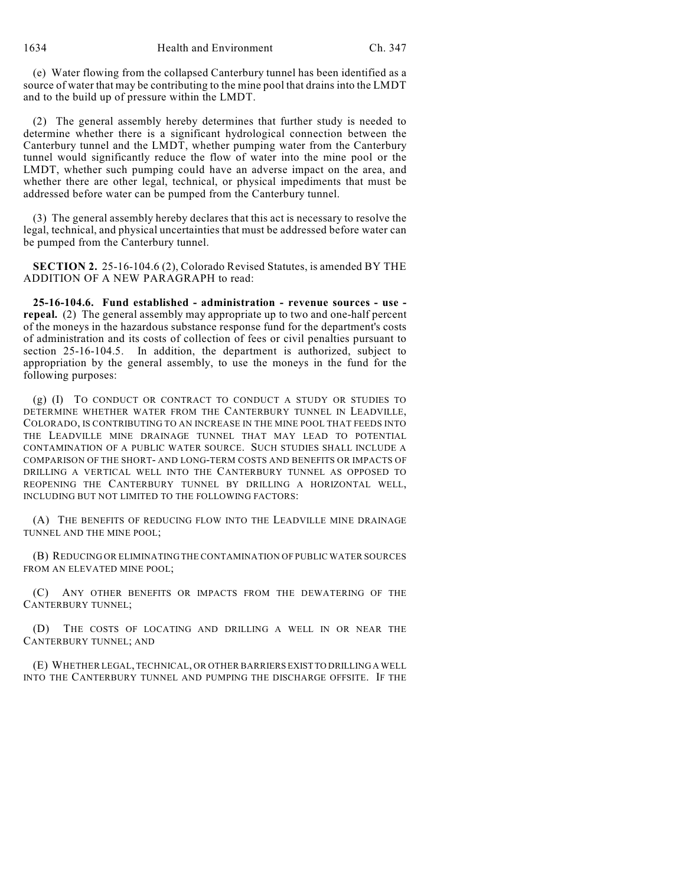(e) Water flowing from the collapsed Canterbury tunnel has been identified as a source of water that may be contributing to the mine pool that drains into the LMDT and to the build up of pressure within the LMDT.

(2) The general assembly hereby determines that further study is needed to determine whether there is a significant hydrological connection between the Canterbury tunnel and the LMDT, whether pumping water from the Canterbury tunnel would significantly reduce the flow of water into the mine pool or the LMDT, whether such pumping could have an adverse impact on the area, and whether there are other legal, technical, or physical impediments that must be addressed before water can be pumped from the Canterbury tunnel.

(3) The general assembly hereby declares that this act is necessary to resolve the legal, technical, and physical uncertainties that must be addressed before water can be pumped from the Canterbury tunnel.

**SECTION 2.** 25-16-104.6 (2), Colorado Revised Statutes, is amended BY THE ADDITION OF A NEW PARAGRAPH to read:

**25-16-104.6. Fund established - administration - revenue sources - use repeal.** (2) The general assembly may appropriate up to two and one-half percent of the moneys in the hazardous substance response fund for the department's costs of administration and its costs of collection of fees or civil penalties pursuant to section 25-16-104.5. In addition, the department is authorized, subject to appropriation by the general assembly, to use the moneys in the fund for the following purposes:

(g) (I) TO CONDUCT OR CONTRACT TO CONDUCT A STUDY OR STUDIES TO DETERMINE WHETHER WATER FROM THE CANTERBURY TUNNEL IN LEADVILLE, COLORADO, IS CONTRIBUTING TO AN INCREASE IN THE MINE POOL THAT FEEDS INTO THE LEADVILLE MINE DRAINAGE TUNNEL THAT MAY LEAD TO POTENTIAL CONTAMINATION OF A PUBLIC WATER SOURCE. SUCH STUDIES SHALL INCLUDE A COMPARISON OF THE SHORT- AND LONG-TERM COSTS AND BENEFITS OR IMPACTS OF DRILLING A VERTICAL WELL INTO THE CANTERBURY TUNNEL AS OPPOSED TO REOPENING THE CANTERBURY TUNNEL BY DRILLING A HORIZONTAL WELL, INCLUDING BUT NOT LIMITED TO THE FOLLOWING FACTORS:

(A) THE BENEFITS OF REDUCING FLOW INTO THE LEADVILLE MINE DRAINAGE TUNNEL AND THE MINE POOL;

(B) REDUCING OR ELIMINATING THE CONTAMINATION OF PUBLIC WATER SOURCES FROM AN ELEVATED MINE POOL;

(C) ANY OTHER BENEFITS OR IMPACTS FROM THE DEWATERING OF THE CANTERBURY TUNNEL;

(D) THE COSTS OF LOCATING AND DRILLING A WELL IN OR NEAR THE CANTERBURY TUNNEL; AND

(E) WHETHER LEGAL, TECHNICAL, OR OTHER BARRIERS EXIST TO DRILLING A WELL INTO THE CANTERBURY TUNNEL AND PUMPING THE DISCHARGE OFFSITE. IF THE